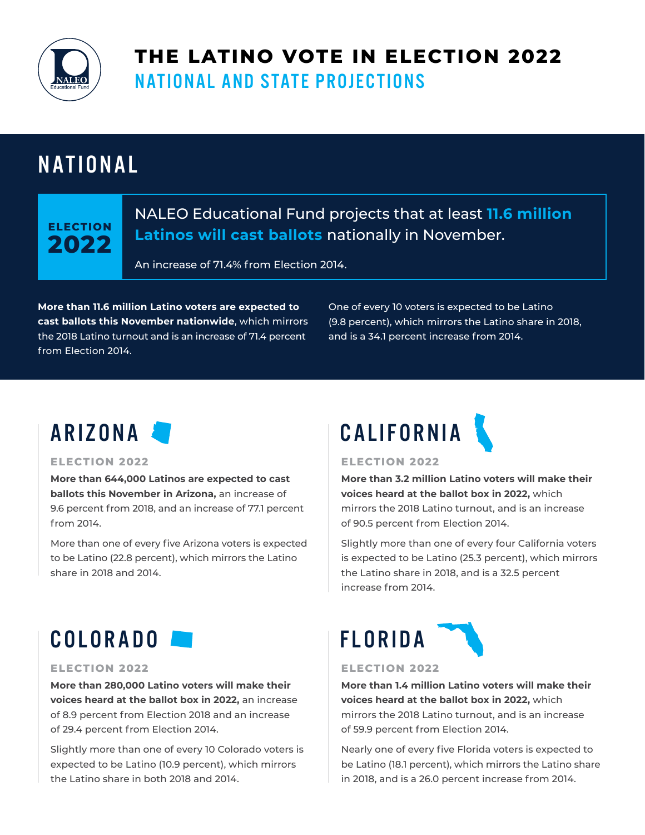

## **THE LATINO VOTE IN ELECTION 2022**  NATIONAL AND STATE PROJECTIONS

## NATIONAL

## **ELECTION 2022**

### NALEO Educational Fund projects that at least **11.6 million Latinos will cast ballots** nationally in November.

An increase of 71.4% from Election 2014.

**More than 11.6 million Latino voters are expected to cast ballots this November nationwide**, which mirrors the 2018 Latino turnout and is an increase of 71.4 percent from Election 2014.

One of every 10 voters is expected to be Latino (9.8 percent), which mirrors the Latino share in 2018, and is a 34.1 percent increase from 2014.

#### **ELECTION 2022**

**More than 644,000 Latinos are expected to cast ballots this November in Arizona,** an increase of 9.6 percent from 2018, and an increase of 77.1 percent from 2014.

More than one of every five Arizona voters is expected to be Latino (22.8 percent), which mirrors the Latino share in 2018 and 2014.

# ARIZONA CALIFORNIA



#### **ELECTION 2022**

**More than 3.2 million Latino voters will make their voices heard at the ballot box in 2022,** which mirrors the 2018 Latino turnout, and is an increase of 90.5 percent from Election 2014.

Slightly more than one of every four California voters is expected to be Latino (25.3 percent), which mirrors the Latino share in 2018, and is a 32.5 percent increase from 2014.

## COLORADO **DE**

#### **ELECTION 2022**

**More than 280,000 Latino voters will make their voices heard at the ballot box in 2022,** an increase of 8.9 percent from Election 2018 and an increase of 29.4 percent from Election 2014.

Slightly more than one of every 10 Colorado voters is expected to be Latino (10.9 percent), which mirrors the Latino share in both 2018 and 2014.



#### **ELECTION 2022**

**More than 1.4 million Latino voters will make their voices heard at the ballot box in 2022,** which mirrors the 2018 Latino turnout, and is an increase of 59.9 percent from Election 2014.

Nearly one of every five Florida voters is expected to be Latino (18.1 percent), which mirrors the Latino share in 2018, and is a 26.0 percent increase from 2014.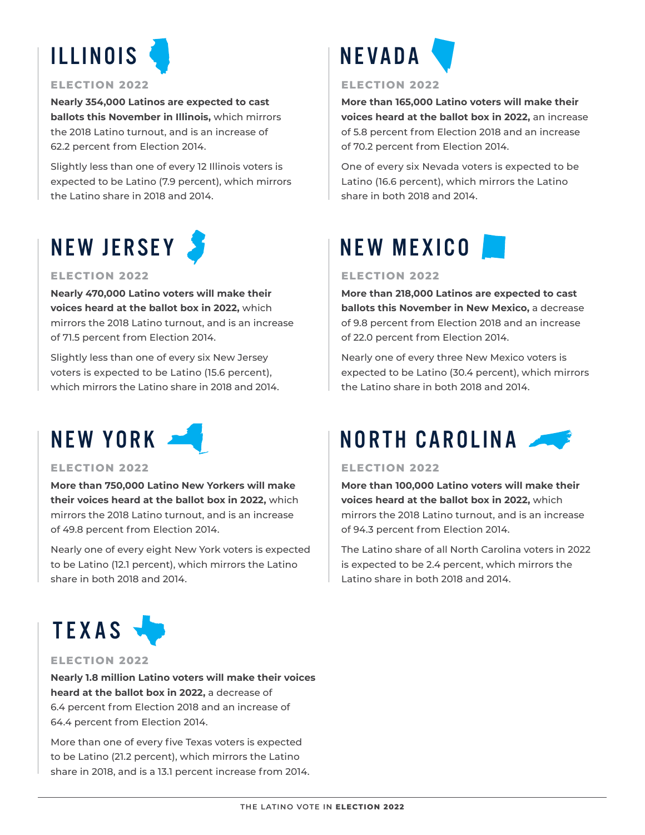

#### **ELECTION 2022**

**Nearly 354,000 Latinos are expected to cast ballots this November in Illinois,** which mirrors the 2018 Latino turnout, and is an increase of 62.2 percent from Election 2014.

Slightly less than one of every 12 Illinois voters is expected to be Latino (7.9 percent), which mirrors the Latino share in 2018 and 2014.

## NEW JERSEY

#### **ELECTION 2022**

**Nearly 470,000 Latino voters will make their voices heard at the ballot box in 2022,** which mirrors the 2018 Latino turnout, and is an increase of 71.5 percent from Election 2014.

Slightly less than one of every six New Jersey voters is expected to be Latino (15.6 percent), which mirrors the Latino share in 2018 and 2014.



#### **ELECTION 2022**

**More than 750,000 Latino New Yorkers will make their voices heard at the ballot box in 2022,** which mirrors the 2018 Latino turnout, and is an increase of 49.8 percent from Election 2014.

Nearly one of every eight New York voters is expected to be Latino (12.1 percent), which mirrors the Latino share in both 2018 and 2014.



### **ELECTION 2022**

**Nearly 1.8 million Latino voters will make their voices heard at the ballot box in 2022,** a decrease of 6.4 percent from Election 2018 and an increase of 64.4 percent from Election 2014.

More than one of every five Texas voters is expected to be Latino (21.2 percent), which mirrors the Latino share in 2018, and is a 13.1 percent increase from 2014.



#### **ELECTION 2022**

**More than 165,000 Latino voters will make their voices heard at the ballot box in 2022,** an increase of 5.8 percent from Election 2018 and an increase of 70.2 percent from Election 2014.

One of every six Nevada voters is expected to be Latino (16.6 percent), which mirrors the Latino share in both 2018 and 2014.

## NEW MEXICO

#### **ELECTION 2022**

**More than 218,000 Latinos are expected to cast ballots this November in New Mexico,** a decrease of 9.8 percent from Election 2018 and an increase of 22.0 percent from Election 2014.

Nearly one of every three New Mexico voters is expected to be Latino (30.4 percent), which mirrors the Latino share in both 2018 and 2014.

## NORTH CAROLINA

#### **ELECTION 2022**

**More than 100,000 Latino voters will make their voices heard at the ballot box in 2022,** which mirrors the 2018 Latino turnout, and is an increase of 94.3 percent from Election 2014.

The Latino share of all North Carolina voters in 2022 is expected to be 2.4 percent, which mirrors the Latino share in both 2018 and 2014.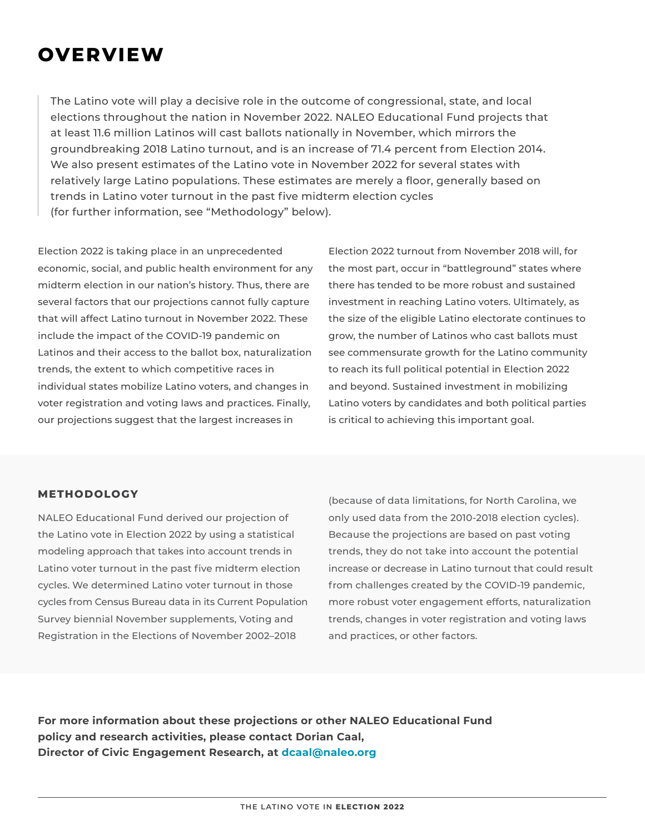## **OVERVIEW**

The Latino vote will play a decisive role in the outcome of congressional, state, and local elections throughout the nation in November 2022. NALEO Educational Fund projects that at least 11.6 million Latinos will cast ballots nationally in November, which mirrors the groundbreaking 2018 Latino turnout, and is an increase of 71.4 percent from Election 2014. We also present estimates of the Latino vote in November 2022 for several states with relatively large Latino populations. These estimates are merely a floor, generally based on trends in Latino voter turnout in the past five midterm election cycles (for further information, see "Methodology" below).

Election 2022 is taking place in an unprecedented economic, social, and public health environment for any midterm election in our nation's history. Thus, there are several factors that our projections cannot fully capture that will affect Latino turnout in November 2022. These include the impact of the COVID-19 pandemic on Latinos and their access to the ballot box, naturalization trends, the extent to which competitive races in individual states mobilize Latino voters, and changes in voter registration and voting laws and practices. Finally, our projections suggest that the largest increases in

Election 2022 turnout from November 2018 will, for the most part, occur in "battleground" states where there has tended to be more robust and sustained investment in reaching Latino voters. Ultimately, as the size of the eligible Latino electorate continues to grow, the number of Latinos who cast ballots must see commensurate growth for the Latino community to reach its full political potential in Election 2022 and beyond. Sustained investment in mobilizing Latino voters by candidates and both political parties is critical to achieving this important goal.

### **METHODOLOGY**

NALEO Educational Fund derived our projection of the Latino vote in Election 2022 by using a statistical modeling approach that takes into account trends in Latino voter turnout in the past five midterm election cycles. We determined Latino voter turnout in those cycles from Census Bureau data in its Current Population Survey biennial November supplements, Voting and Registration in the Elections of November 2002–2018

(because of data limitations, for North Carolina, we only used data from the 2010-2018 election cycles). Because the projections are based on past voting trends, they do not take into account the potential increase or decrease in Latino turnout that could result from challenges created by the COVID-19 pandemic, more robust voter engagement efforts, naturalization trends, changes in voter registration and voting laws and practices, or other factors.

**For more information about these projections or other NALEO Educational Fund policy and research activities, please contact Dorian Caal, Director of Civic Engagement Research, at dcaal@naleo.org**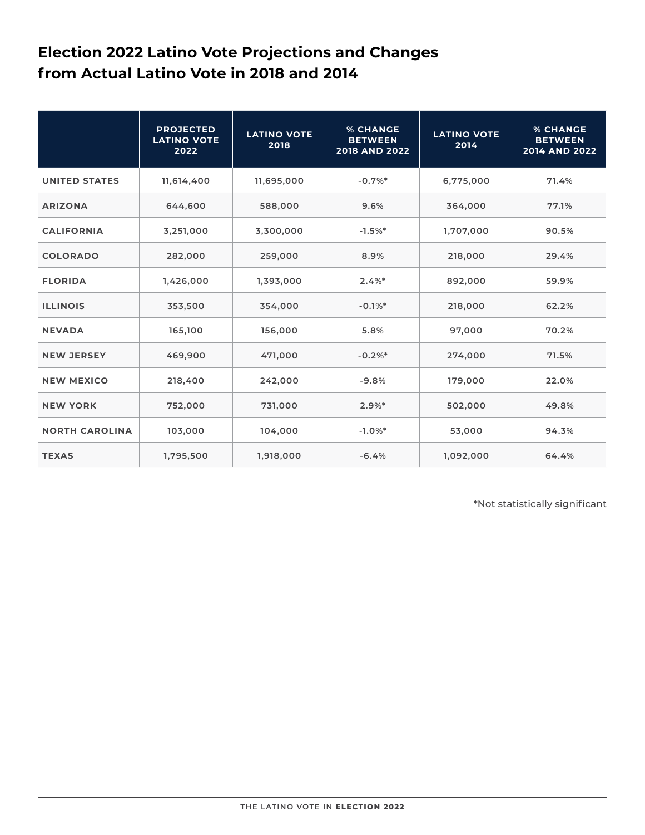### **Election 2022 Latino Vote Projections and Changes from Actual Latino Vote in 2018 and 2014**

|                       | <b>PROJECTED</b><br><b>LATINO VOTE</b><br>2022 | <b>LATINO VOTE</b><br>2018 | <b>% CHANGE</b><br><b>BETWEEN</b><br>2018 AND 2022 | <b>LATINO VOTE</b><br>2014 | <b>% CHANGE</b><br><b>BETWEEN</b><br>2014 AND 2022 |
|-----------------------|------------------------------------------------|----------------------------|----------------------------------------------------|----------------------------|----------------------------------------------------|
| <b>UNITED STATES</b>  | 11,614,400                                     | 11,695,000                 | $-0.7%$                                            | 6,775,000                  | 71.4%                                              |
| <b>ARIZONA</b>        | 644,600                                        | 588,000                    | 9.6%                                               | 364,000                    | 77.1%                                              |
| <b>CALIFORNIA</b>     | 3,251,000                                      | 3,300,000                  | $-1.5%$                                            | 1,707,000                  | 90.5%                                              |
| <b>COLORADO</b>       | 282,000                                        | 259,000                    | 8.9%                                               | 218,000                    | 29.4%                                              |
| <b>FLORIDA</b>        | 1,426,000                                      | 1,393,000                  | $2.4%$ *                                           | 892,000                    | 59.9%                                              |
| <b>ILLINOIS</b>       | 353,500                                        | 354,000                    | $-0.1%$                                            | 218,000                    | 62.2%                                              |
| <b>NEVADA</b>         | 165,100                                        | 156,000                    | 5.8%                                               | 97,000                     | 70.2%                                              |
| <b>NEW JERSEY</b>     | 469,900                                        | 471,000                    | $-0.2%$ *                                          | 274,000                    | 71.5%                                              |
| <b>NEW MEXICO</b>     | 218,400                                        | 242,000                    | $-9.8%$                                            | 179,000                    | 22.0%                                              |
| <b>NEW YORK</b>       | 752,000                                        | 731,000                    | 2.9%                                               | 502,000                    | 49.8%                                              |
| <b>NORTH CAROLINA</b> | 103,000                                        | 104,000                    | $-1.0%$ *                                          | 53,000                     | 94.3%                                              |
| <b>TEXAS</b>          | 1,795,500                                      | 1,918,000                  | $-6.4%$                                            | 1,092,000                  | 64.4%                                              |

\*Not statistically significant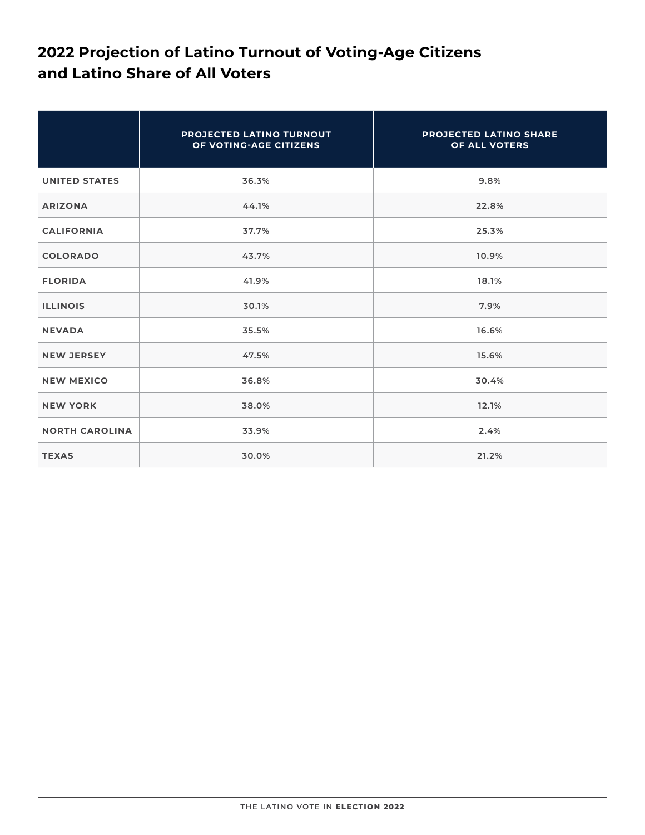### **2022 Projection of Latino Turnout of Voting-Age Citizens and Latino Share of All Voters**

|                       | PROJECTED LATINO TURNOUT<br>OF VOTING-AGE CITIZENS | <b>PROJECTED LATINO SHARE</b><br>OF ALL VOTERS |
|-----------------------|----------------------------------------------------|------------------------------------------------|
| <b>UNITED STATES</b>  | 36.3%                                              | 9.8%                                           |
| <b>ARIZONA</b>        | 44.1%                                              | 22.8%                                          |
| <b>CALIFORNIA</b>     | 37.7%                                              | 25.3%                                          |
| <b>COLORADO</b>       | 43.7%                                              | 10.9%                                          |
| <b>FLORIDA</b>        | 41.9%                                              | 18.1%                                          |
| <b>ILLINOIS</b>       | 30.1%                                              | 7.9%                                           |
| <b>NEVADA</b>         | 35.5%                                              | 16.6%                                          |
| <b>NEW JERSEY</b>     | 47.5%                                              | 15.6%                                          |
| <b>NEW MEXICO</b>     | 36.8%                                              | 30.4%                                          |
| <b>NEW YORK</b>       | 38.0%                                              | 12.1%                                          |
| <b>NORTH CAROLINA</b> | 33.9%                                              | 2.4%                                           |
| <b>TEXAS</b>          | 30.0%                                              | 21.2%                                          |